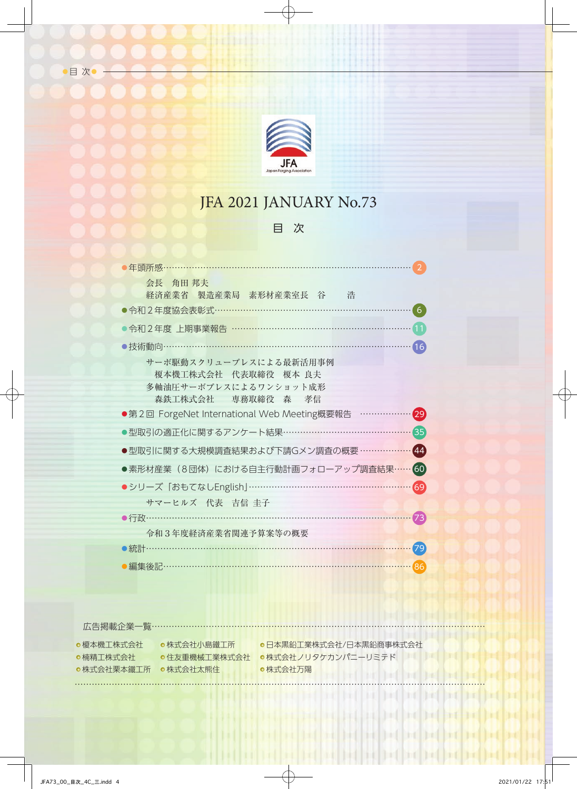

## JFA 2021 JANUARY No.73

## 目 次

| 年頭所感………                                                                                       |                    |
|-----------------------------------------------------------------------------------------------|--------------------|
| 会長 角田 邦夫<br>経済産業省 製造産業局 素形材産業室長 谷 浩                                                           |                    |
| ●令和2年度協会表彰式………………………………………………                                                                 | 6                  |
| ●令和2年度 上期事業報告 ………………………………………………                                                              |                    |
|                                                                                               | 16                 |
| サーボ駆動スクリュープレスによる最新活用事例<br>榎本機工株式会社 代表取締役 榎本 良夫<br>多軸油圧サーボプレスによるワンショット成形<br>森鉄工株式会社 専務取締役 森 孝信 |                    |
| ●第2回 ForgeNet International Web Meeting概要報告 …                                                 | [29]               |
| ▶型取引の適正化に関するアンケート結果……………………………… <mark>…</mark>                                                | $\left(35\right)$  |
| ●型取引に関する大規模調査結果および下請Gメン調査の概要 ……………                                                            | $\overline{44}$    |
| ●素形材産業(8団体)における自主行動計画フォローアップ調査結果…                                                             | 60                 |
| ●シリーズ「おもてなしEnglish」……………………………………………                                                          | 69                 |
| サマーヒルズ 代表 吉信 圭子                                                                               |                    |
|                                                                                               | $\left( 73\right)$ |
| 令和3年度経済産業省関連予算案等の概要                                                                           |                    |
| ●統計………………………………………………………                                                                      | 79                 |
| ●編集後記………………………………………………………………                                                                 | $\overline{86}$    |

広告掲載企業一覧………………………………………………………………………………………………………

● 榎本機工株式会社 ●楠精工株式会社

……………………………………………………………………………………………………………………………… 株式会社栗本鐵工所 株式会社太熊住

株式会社小島鐵工所───●日本黒鉛工業株式会社/日本黒鉛商事株式会社 住友重機械工業株式会社 株式会社ノリタケカンパニーリミテド 株式会社万陽

inf it

Fri I

**In fil** 

**The Post**